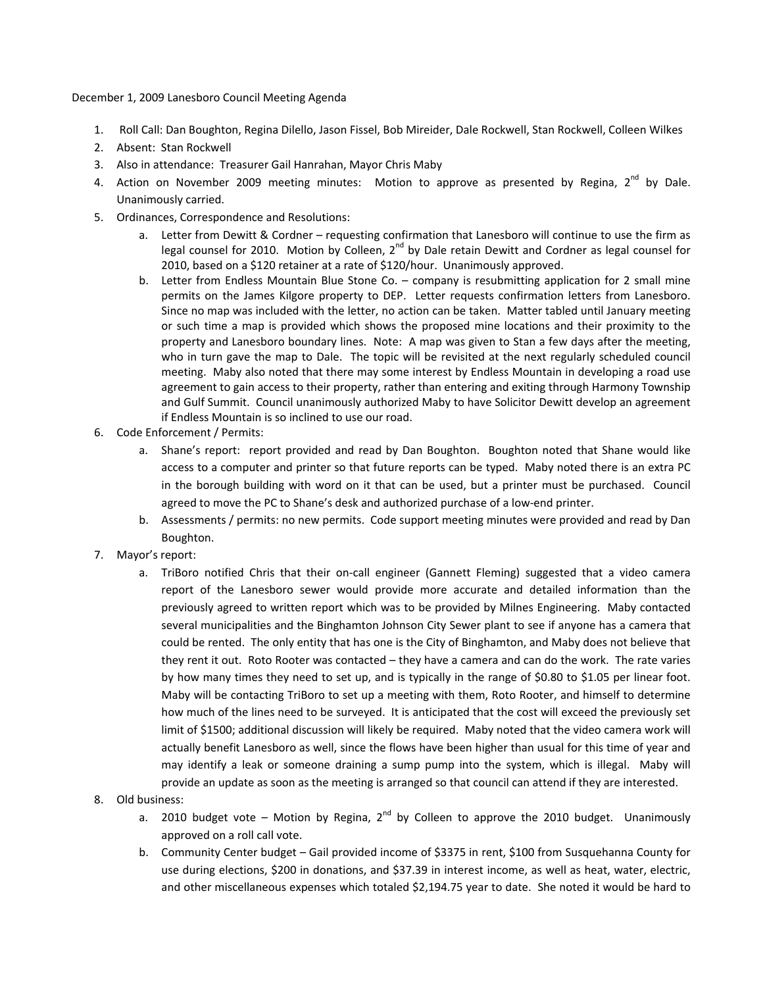December 1, 2009 Lanesboro Council Meeting Agenda

- 1. Roll Call: Dan Boughton, Regina Dilello, Jason Fissel, Bob Mireider, Dale Rockwell, Stan Rockwell, Colleen Wilkes
- 2. Absent: Stan Rockwell
- 3. Also in attendance: Treasurer Gail Hanrahan, Mayor Chris Maby
- 4. Action on November 2009 meeting minutes: Motion to approve as presented by Regina,  $2^{nd}$  by Dale. Unanimously carried.
- 5. Ordinances, Correspondence and Resolutions:
	- a. Letter from Dewitt & Cordner requesting confirmation that Lanesboro will continue to use the firm as legal counsel for 2010. Motion by Colleen, 2<sup>nd</sup> by Dale retain Dewitt and Cordner as legal counsel for 2010, based on a \$120 retainer at a rate of \$120/hour. Unanimously approved.
	- b. Letter from Endless Mountain Blue Stone Co. company is resubmitting application for 2 small mine permits on the James Kilgore property to DEP. Letter requests confirmation letters from Lanesboro. Since no map was included with the letter, no action can be taken. Matter tabled until January meeting or such time a map is provided which shows the proposed mine locations and their proximity to the property and Lanesboro boundary lines. Note: A map was given to Stan a few days after the meeting, who in turn gave the map to Dale. The topic will be revisited at the next regularly scheduled council meeting. Maby also noted that there may some interest by Endless Mountain in developing a road use agreement to gain access to their property, rather than entering and exiting through Harmony Township and Gulf Summit. Council unanimously authorized Maby to have Solicitor Dewitt develop an agreement if Endless Mountain is so inclined to use our road.
- 6. Code Enforcement / Permits:
	- a. Shane's report: report provided and read by Dan Boughton. Boughton noted that Shane would like access to a computer and printer so that future reports can be typed. Maby noted there is an extra PC in the borough building with word on it that can be used, but a printer must be purchased. Council agreed to move the PC to Shane's desk and authorized purchase of a low-end printer.
	- b. Assessments / permits: no new permits. Code support meeting minutes were provided and read by Dan Boughton.
- 7. Mayor's report:
	- a. TriBoro notified Chris that their on-call engineer (Gannett Fleming) suggested that a video camera report of the Lanesboro sewer would provide more accurate and detailed information than the previously agreed to written report which was to be provided by Milnes Engineering. Maby contacted several municipalities and the Binghamton Johnson City Sewer plant to see if anyone has a camera that could be rented. The only entity that has one is the City of Binghamton, and Maby does not believe that they rent it out. Roto Rooter was contacted – they have a camera and can do the work. The rate varies by how many times they need to set up, and is typically in the range of \$0.80 to \$1.05 per linear foot. Maby will be contacting TriBoro to set up a meeting with them, Roto Rooter, and himself to determine how much of the lines need to be surveyed. It is anticipated that the cost will exceed the previously set limit of \$1500; additional discussion will likely be required. Maby noted that the video camera work will actually benefit Lanesboro as well, since the flows have been higher than usual for this time of year and may identify a leak or someone draining a sump pump into the system, which is illegal. Maby will provide an update as soon as the meeting is arranged so that council can attend if they are interested.
- 8. Old business:
	- a. 2010 budget vote Motion by Regina,  $2^{nd}$  by Colleen to approve the 2010 budget. Unanimously approved on a roll call vote.
	- b. Community Center budget Gail provided income of \$3375 in rent, \$100 from Susquehanna County for use during elections, \$200 in donations, and \$37.39 in interest income, as well as heat, water, electric, and other miscellaneous expenses which totaled \$2,194.75 year to date. She noted it would be hard to